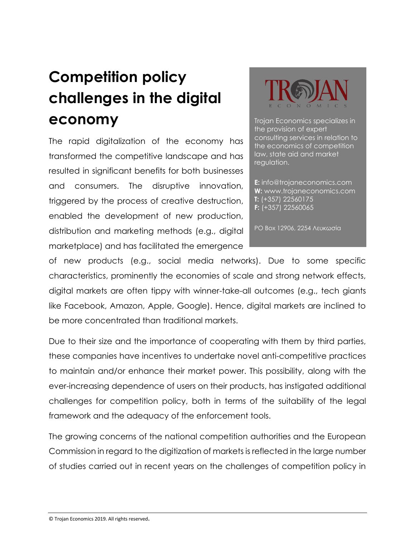## **Competition policy challenges in the digital economy**

The rapid digitalization of the economy has transformed the competitive landscape and has resulted in significant benefits for both businesses and consumers. The disruptive innovation, triggered by the process of creative destruction, enabled the development of new production, distribution and marketing methods (e.g., digital marketplace) and has facilitated the emergence



Trojan Economics specializes in the provision of expert consulting services in relation to the economics of competition law, state aid and market regulation.

**E:** info@trojaneconomics.com **W:** www.trojaneconomics.com **T:** (+357) 22560175 **F:** (+357) 22560065

PO Box 12906, 2254 Λευκωσία

of new products (e.g., social media networks). Due to some specific characteristics, prominently the economies of scale and strong network effects, digital markets are often tippy with winner-take-all outcomes (e.g., tech giants like Facebook, Amazon, Apple, Google). Hence, digital markets are inclined to be more concentrated than traditional markets.

Due to their size and the importance of cooperating with them by third parties, these companies have incentives to undertake novel anti-competitive practices to maintain and/or enhance their market power. This possibility, along with the ever-increasing dependence of users on their products, has instigated additional challenges for competition policy, both in terms of the suitability of the legal framework and the adequacy of the enforcement tools.

The growing concerns of the national competition authorities and the European Commission in regard to the digitization of markets is reflected in the large number of studies carried out in recent years on the challenges of competition policy in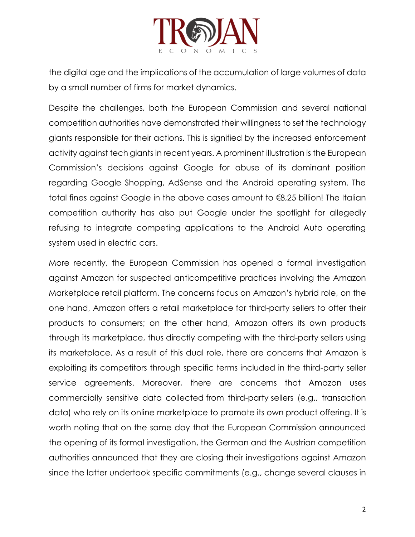

the digital age and the implications of the accumulation of large volumes of data by a small number of firms for market dynamics.

Despite the challenges, both the European Commission and several national competition authorities have demonstrated their willingness to set the technology giants responsible for their actions. This is signified by the increased enforcement activity against tech giants in recent years. A prominent illustration is the European Commission's decisions against Google for abuse of its dominant position regarding Google Shopping, AdSense and the Android operating system. The total fines against Google in the above cases amount to €8,25 billion! The Italian competition authority has also put Google under the spotlight for allegedly refusing to integrate competing applications to the Android Auto operating system used in electric cars.

More recently, the European Commission has opened a formal investigation against Amazon for suspected anticompetitive practices involving the Amazon Marketplace retail platform. The concerns focus on Amazon's hybrid role, on the one hand, Amazon offers a retail marketplace for third-party sellers to offer their products to consumers; on the other hand, Amazon offers its own products through its marketplace, thus directly competing with the third-party sellers using its marketplace. As a result of this dual role, there are concerns that Amazon is exploiting its competitors through specific terms included in the third-party seller service agreements. Moreover, there are concerns that Amazon uses commercially sensitive data collected from third-party sellers (e.g., transaction data) who rely on its online marketplace to promote its own product offering. It is worth noting that on the same day that the European Commission announced the opening of its formal investigation, the German and the Austrian competition authorities announced that they are closing their investigations against Amazon since the latter undertook specific commitments (e.g., change several clauses in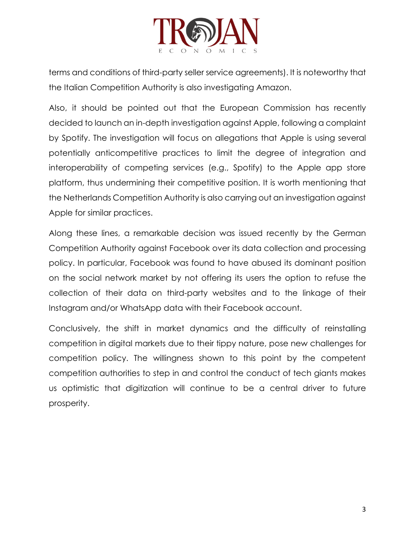

terms and conditions of third-party seller service agreements). It is noteworthy that the Italian Competition Authority is also investigating Amazon.

Also, it should be pointed out that the European Commission has recently decided to launch an in-depth investigation against Apple, following a complaint by Spotify. The investigation will focus on allegations that Apple is using several potentially anticompetitive practices to limit the degree of integration and interoperability of competing services (e.g., Spotify) to the Apple app store platform, thus undermining their competitive position. It is worth mentioning that the Netherlands Competition Authority is also carrying out an investigation against Apple for similar practices.

Along these lines, a remarkable decision was issued recently by the German Competition Authority against Facebook over its data collection and processing policy. In particular, Facebook was found to have abused its dominant position on the social network market by not offering its users the option to refuse the collection of their data on third-party websites and to the linkage of their Instagram and/or WhatsApp data with their Facebook account.

Conclusively, the shift in market dynamics and the difficulty of reinstalling competition in digital markets due to their tippy nature, pose new challenges for competition policy. The willingness shown to this point by the competent competition authorities to step in and control the conduct of tech giants makes us optimistic that digitization will continue to be a central driver to future prosperity.